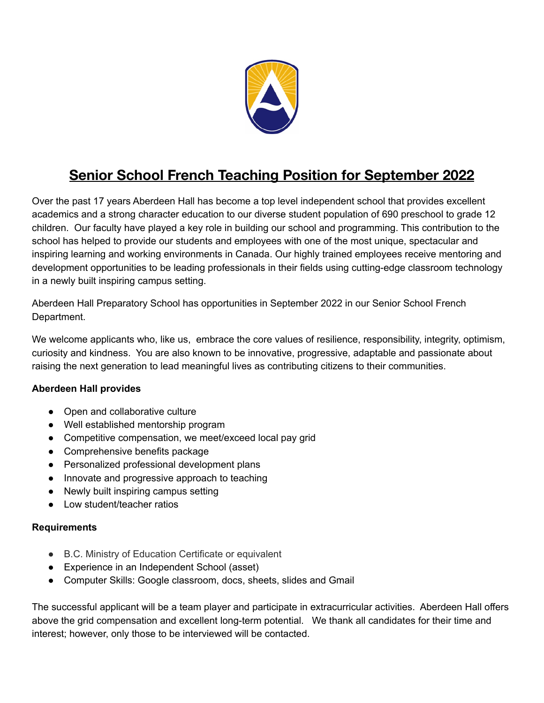

## **Senior School French Teaching Position for September 2022**

Over the past 17 years Aberdeen Hall has become a top level independent school that provides excellent academics and a strong character education to our diverse student population of 690 preschool to grade 12 children. Our faculty have played a key role in building our school and programming. This contribution to the school has helped to provide our students and employees with one of the most unique, spectacular and inspiring learning and working environments in Canada. Our highly trained employees receive mentoring and development opportunities to be leading professionals in their fields using cutting-edge classroom technology in a newly built inspiring campus setting.

Aberdeen Hall Preparatory School has opportunities in September 2022 in our Senior School French Department.

We welcome applicants who, like us, embrace the core values of resilience, responsibility, integrity, optimism, curiosity and kindness. You are also known to be innovative, progressive, adaptable and passionate about raising the next generation to lead meaningful lives as contributing citizens to their communities.

## **Aberdeen Hall provides**

- Open and collaborative culture
- Well established mentorship program
- Competitive compensation, we meet/exceed local pay grid
- Comprehensive benefits package
- Personalized professional development plans
- Innovate and progressive approach to teaching
- Newly built inspiring campus setting
- Low student/teacher ratios

## **Requirements**

- B.C. Ministry of Education Certificate or equivalent
- Experience in an Independent School (asset)
- Computer Skills: Google classroom, docs, sheets, slides and Gmail

The successful applicant will be a team player and participate in extracurricular activities. Aberdeen Hall offers above the grid compensation and excellent long-term potential. We thank all candidates for their time and interest; however, only those to be interviewed will be contacted.